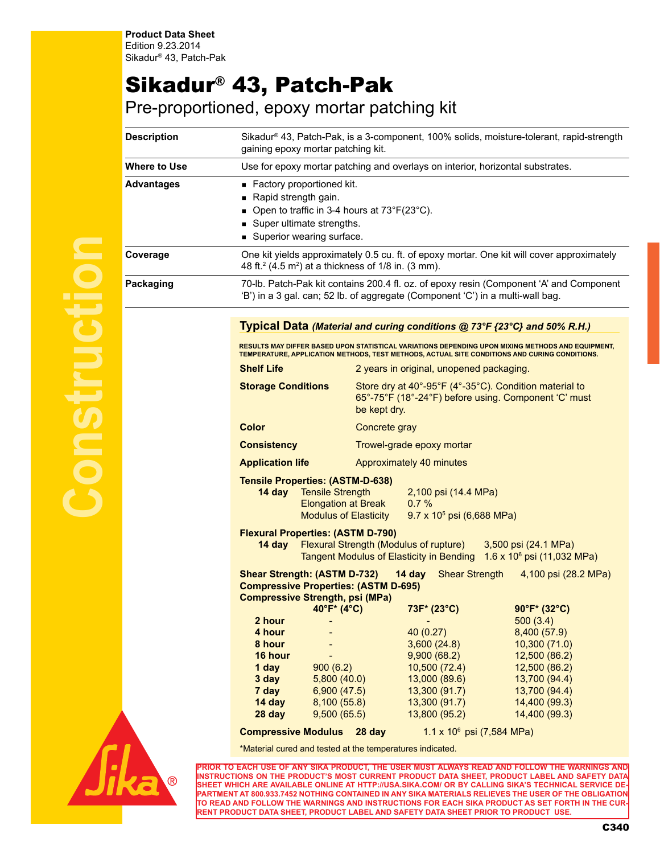## Sikadur® 43, Patch-Pak

Pre-proportioned, epoxy mortar patching kit

| <b>Description</b> | Sikadur® 43, Patch-Pak, is a 3-component, 100% solids, moisture-tolerant, rapid-strength<br>gaining epoxy mortar patching kit.                                                                                                                                                        |               |                                                                                                                                                                               |                                                                                                                                                                 |  |
|--------------------|---------------------------------------------------------------------------------------------------------------------------------------------------------------------------------------------------------------------------------------------------------------------------------------|---------------|-------------------------------------------------------------------------------------------------------------------------------------------------------------------------------|-----------------------------------------------------------------------------------------------------------------------------------------------------------------|--|
| Where to Use       | Use for epoxy mortar patching and overlays on interior, horizontal substrates.                                                                                                                                                                                                        |               |                                                                                                                                                                               |                                                                                                                                                                 |  |
| Advantages         | Factory proportioned kit.<br>Rapid strength gain.<br>• Open to traffic in 3-4 hours at $73^{\circ}F(23^{\circ}C)$ .<br>Super ultimate strengths.<br>Superior wearing surface.                                                                                                         |               |                                                                                                                                                                               |                                                                                                                                                                 |  |
| Coverage           | 48 ft. <sup>2</sup> (4.5 m <sup>2</sup> ) at a thickness of 1/8 in. (3 mm).                                                                                                                                                                                                           |               |                                                                                                                                                                               | One kit yields approximately 0.5 cu. ft. of epoxy mortar. One kit will cover approximately                                                                      |  |
| Packaging          | 'B') in a 3 gal. can; 52 lb. of aggregate (Component 'C') in a multi-wall bag.                                                                                                                                                                                                        |               |                                                                                                                                                                               | 70-lb. Patch-Pak kit contains 200.4 fl. oz. of epoxy resin (Component 'A' and Component                                                                         |  |
|                    | Typical Data (Material and curing conditions @ 73°F {23°C} and 50% R.H.)<br><u>RESULTS MAY DIFFER BASED UPON STATISTICAL VARIATIONS DEPENDING UPON MIXING METHODS AND EQUIPMENT,</u><br>TEMPERATURE. APPLICATION METHODS, TEST METHODS, ACTUAL SITE CONDITIONS AND CURING CONDITIONS. |               |                                                                                                                                                                               |                                                                                                                                                                 |  |
|                    | <b>Shelf Life</b>                                                                                                                                                                                                                                                                     |               | 2 years in original, unopened packaging.                                                                                                                                      |                                                                                                                                                                 |  |
|                    | <b>Storage Conditions</b>                                                                                                                                                                                                                                                             | be kept dry.  | Store dry at 40°-95°F (4°-35°C). Condition material to<br>65°-75°F (18°-24°F) before using. Component 'C' must                                                                |                                                                                                                                                                 |  |
|                    | <b>Color</b>                                                                                                                                                                                                                                                                          | Concrete gray |                                                                                                                                                                               |                                                                                                                                                                 |  |
|                    | <b>Consistency</b>                                                                                                                                                                                                                                                                    |               | Trowel-grade epoxy mortar                                                                                                                                                     |                                                                                                                                                                 |  |
|                    | <b>Application life</b>                                                                                                                                                                                                                                                               |               | Approximately 40 minutes                                                                                                                                                      |                                                                                                                                                                 |  |
|                    | <b>Tensile Properties: (ASTM-D-638)</b><br><b>Tensile Strength</b><br>14 day<br><b>Elongation at Break</b><br><b>Modulus of Elasticity</b>                                                                                                                                            |               | 2,100 psi (14.4 MPa)<br>0.7%<br>$9.7 \times 10^5$ psi (6,688 MPa)                                                                                                             |                                                                                                                                                                 |  |
|                    | <b>Flexural Properties: (ASTM D-790)</b><br>Flexural Strength (Modulus of rupture) 3,500 psi (24.1 MPa)<br>14 day<br>Tangent Modulus of Elasticity in Bending 1.6 x 10 <sup>6</sup> psi (11,032 MPa)                                                                                  |               |                                                                                                                                                                               |                                                                                                                                                                 |  |
|                    | <b>Shear Strength: (ASTM D-732)</b><br><b>Compressive Properties: (ASTM D-695)</b><br><b>Compressive Strength, psi (MPa)</b>                                                                                                                                                          |               | <b>Shear Strength</b><br>14 day                                                                                                                                               | 4,100 psi (28.2 MPa)                                                                                                                                            |  |
|                    | 40°F* (4°C)<br>2 hour<br>4 hour<br>8 hour<br>16 hour<br>1 day<br>900(6.2)<br>3 <sub>day</sub><br>5,800(40.0)<br>6,900(47.5)<br>7 day<br>$14$ day<br>8,100(55.8)<br>9,500(65.5)<br>28 day<br><b>Compressive Modulus</b> 28 day                                                         |               | 73F* (23°C)<br>40 (0.27)<br>3,600(24.8)<br>9,900(68.2)<br>10,500(72.4)<br>13,000 (89.6)<br>13,300(91.7)<br>13,300(91.7)<br>13,800 (95.2)<br>$1.1 \times 10^6$ psi (7,584 MPa) | 90°F* (32°C)<br>500(3.4)<br>8,400 (57.9)<br>10,300 (71.0)<br>12,500 (86.2)<br>12,500 (86.2)<br>13,700 (94.4)<br>13,700 (94.4)<br>14,400 (99.3)<br>14,400 (99.3) |  |
|                    | *Material cured and tested at the temperatures indicated.                                                                                                                                                                                                                             |               |                                                                                                                                                                               |                                                                                                                                                                 |  |
|                    |                                                                                                                                                                                                                                                                                       |               |                                                                                                                                                                               | PRIOR TO EACH USE OF ANY SIKA PRODUCT, THE USER MUST ALWAYS READ AND FOLLOW THE WARNINGS AND                                                                    |  |

**PRIOR TO EACH USE OF ANY SIKA PRODUCT, THE USER MUST ALWAYS READ AND FOLLOW THE WARNINGS AND INSTRUCTIONS ON THE PRODUCT'S MOST CURRENT PRODUCT DATA SHEET, PRODUCT LABEL AND SAFETY DATA SHEET WHICH ARE AVAILABLE ONLINE AT HTTP://USA.SIKA.COM/ OR BY CALLING SIKA'S TECHNICAL SERVICE DE-PARTMENT AT 800.933.7452 NOTHING CONTAINED IN ANY SIKA MATERIALS RELIEVES THE USER OF THE OBLIGATION TO READ AND FOLLOW THE WARNINGS AND INSTRUCTIONS FOR EACH SIKA PRODUCT AS SET FORTH IN THE CUR-RENT PRODUCT DATA SHEET, PRODUCT LABEL AND SAFETY DATA SHEET PRIOR TO PRODUCT USE.**